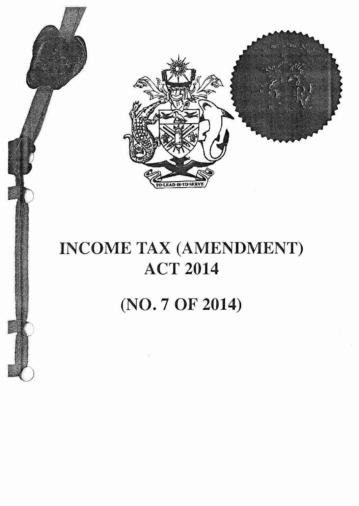

# INCOME TAX (AMENDMENT) ACT 2014

# (NO.7 OF 2014)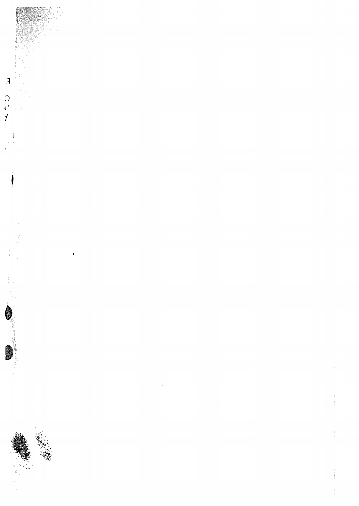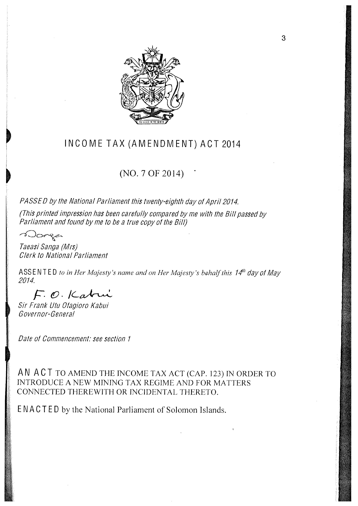

# ; INCOME TAX (AMENDMENT) ACT 2014

## (NO.7 OF 2014)

PASSED by the National Parliament this twenty-eighth day of April 2014. (This printed impression has been carefully compared by me with the Bill passed by Parliament and found by me to be a true copy of the Bill)

r-r:.)o~ \_\_

 $\blacksquare$ 

Taeasi Sanga (Mrs) Clerk to National Parliament

ASSENTED to in Her Majesty's name and on Her Majesty's behalf this 14<sup>th</sup> day of May 2014.

 $F. O.$  Kabui

Sir Frank Utu Ofagioro Kabui Governor-General

Date of Commencement: see section 1

A N ACT TO AMEND THE INCOME TAX ACT (CAP. 123) IN ORDER TO INTRODUCE A NEW MINING TAX REGIME AND FOR MATTERS CONNECTED THEREWITH OR INCIDENTAL THERETO.

EN ACT ED by the National Parliament of Solomon Islands.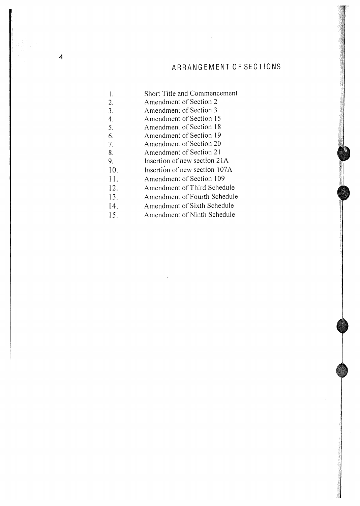### ARRANGEMENT OF SECTIONS

- I. Short Title and Commencement
- 2. Amendment of Section 2
- J. Amendment of Section J 4. Amendment of Section 15
- 5. Amendment of Section 18
- 
- 6. Amendment of Section 19<br>7. Amendment of Section 20 Amendment of Section 20
- 8. Amendment of Section 21
- 9. Insertion of new section 21A
- 10. **Insertion of new section 107A**
- 
- **II.** Amendment of Section 109
- 12. Amendment of Third Schedule
- 13. Amendment of Fourth Schedule
- 14. Amendment of Sixth Schedule<br>15. Amendment of Ninth Schedule
- Amendment of Ninth Schedule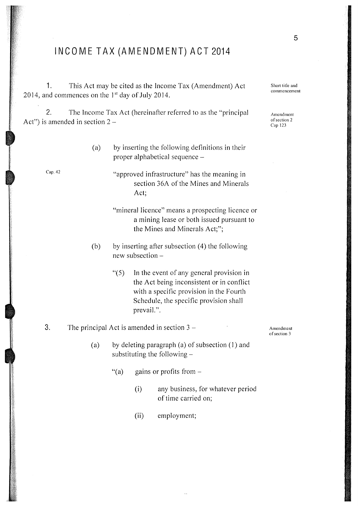## **INCOME TAX (AMENDMENT) ACT 2014**

1. This Act may be cited as the Income Tax (Amendment) Act 2014, and commences on the  $1<sup>st</sup>$  day of July 2014.

2. The Income Tax Act (hereinafter referred to as the "principal Act") is amended in section  $2 -$ 

- (a) by inserting the following definitions in their proper alphabetical sequence -
	- "approved infrastructure" has the meaning in section *36A* of the Mines and Minerals Act;
	- "mineral licence" means a prospecting licence or a mining lease or both issued pursuant to the Mines and Minerals Act;";
- (b) by inserting after subsection (4) the following new subsection -
	- "(5) In the event of any general provision in the Act being inconsistent or in conflict with a specific provision in the Fourth Schedule, the specific provision shall prevaiL".

#### 3. The principal Act is amended in section  $3 -$

- (a) by deleting paragraph (a) of subsection (1) and substituting the following -
	- "(a) gains or profits from
		- (i) any business, for whatever period of time carried on;
		- (ii) employment;

Short titlc and commencement

Amcndment of section 2 Cap 123

Amendment of section 3

Cap. 42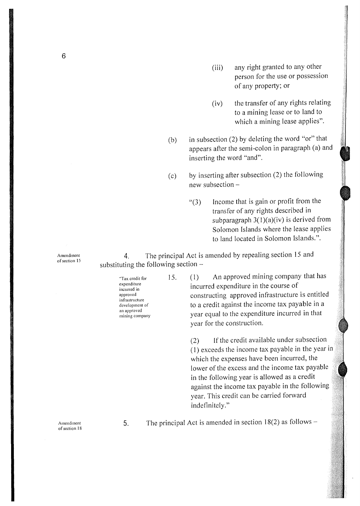- (iii) any right granted to any other person for the use or possession of any property; or
- (iv) the transfer of any rights relating to a mining lease or to land to which a mining lease applies".
- (b) in subsection (2) by deleting the word "or" that appears after the semi-colon in paragraph (a) and inserting the word "and".
- (c) by inserting after subsection (2) the following new subsection -
	- "(3) Income that is gain or profit from the transfer of any rights described in subparagraph  $3(1)(a)(iv)$  is derived from Solomon Islands where the lease applies to land located in Solomon Islands.".

4. The principal Act is amended by repealing section 15 and substituting the following section -

15. (1) An approved mining company that has

incurred expenditure in the course of constructing approved infrastructure is entitled to a credit against the income tax payable in a year equal to the expenditure incurred in that year for the construction.

(2) If the credit available under subsection (1) exceeds the income tax payable in the year in which the expenses have been incurred, the lower of the excess and the income tax payable in the following year is allowed as a credit against the income tax payable in the following year. This credit can be carried forward indefinitely."

Amendment of section 15

> "Tax credit for expenditure incurred in approved infrastructure development of an approved mining company

Amendment of section 18 5. The principal Act is amended in section  $18(2)$  as follows -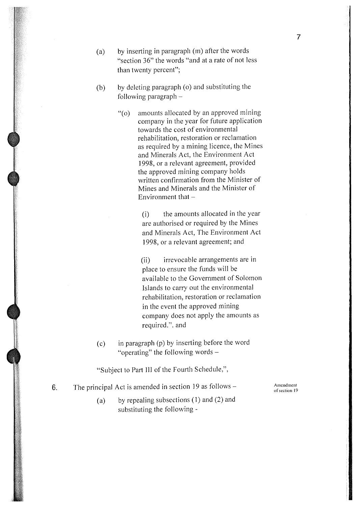- (a) by inserting in paragraph (m) after the words "section 36" the words "and at a rate of not less than twenty percent";
- (b) by deleting paragraph (0) and substituting the following paragraph
	- "(o) amounts allocated by an approved mining company in the year for future application towards the cost of environmental rehabilitation, restoration or reclamation as required by a mining licence, the Mines and Minerals Act, the Environment Act 1998, or a relevant agreement, provided the approved mining company holds written confirmation from the Minister of Mines and Minerals and the Minister of Environment that

(i) the amounts allocated in the year are authorised or required by the Mines and Minerals Act, The Environment Act 1998, or a relevant agreement; and

(ii) irrevocable arrangements are in place to ensure the funds will be available to the Government of Solomon Islands to carry out the environmental rehabilitation, restoration or reclamation in the event the approved mining company does not apply the amounts as required.". and

 $(c)$  in paragraph  $(p)$  by inserting before the word "operating" the following words-

"Subject to Part III of the Fourth Schedule,",

6. The principal Act is amended in section  $19$  as follows - Amendment of section 19

(a) by repealing subsections (J) and (2) and substituting the following -

7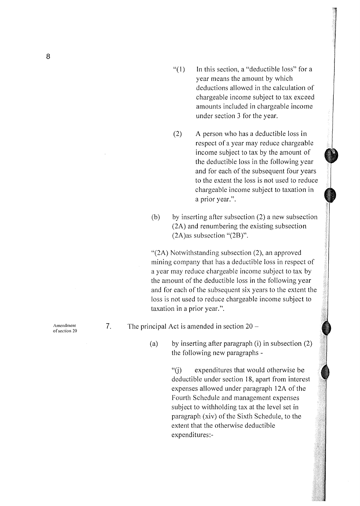- " $(1)$  In this section, a "deductible loss" for a year means the amount by which deductions allowed in the calculation of chargeable income subject to tax exceed amounts included in chargeable income under section 3 for the year.
- (2) A person who has a deductible loss in respect of a year may reduce chargeable income subject to tax by the amount of the deductible loss in the following year and for each of the subsequent four years to the extent the loss is not used to reduce chargeable income subject to taxation in a prior year.".
- (b) by inserting after subsection  $(2)$  a new subsection (2A) and renumbering the existing subsection (2A)as subsection "(2B)".

"(2A) Notwithstanding subsection (2), an approved mining company that has a deductible loss in respect of a year may reduce chargeable income subject to tax by the amount of the deductible loss in the following year and for each of the subsequent six years to the extent the loss is not used to reduce chargeable income subject to taxation in a prior year.".

7. The principal Act is amended in section  $20 -$ 

> (a) by inserting after paragraph (i) in subsection (2) the following new paragraphs -

> > "(j) expenditures that would otherwise be deductible under section 18, apart from interest expenses allowed under paragraph 12A of the Fourth Schedule and management expenses subject to withholding tax at the level set in paragraph (xiv) of the Sixth Schedule, to the extent that the otherwise deductible expenditures:-

Amendment of section 20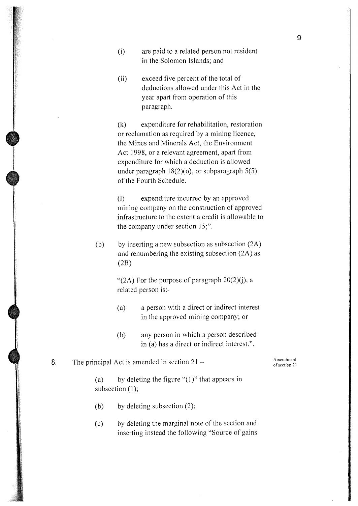- (i) are paid to a related person not resident in the Solomon Islands; and
- (ii) exceed five percent of the total of deductions allowed under this Act in the year apart from operation of this paragraph.

(k) expenditure for rehabilitation, restoration or reclamation as required by a mining licence, the Mines and Minerals Act, the Environment Act 1998, or a relevant agreement, apart from expenditure for which a deduction is allowed under paragraph  $18(2)(o)$ , or subparagraph  $5(5)$ of the Fourth Schedule.

(I) expenditure incurred by an approved mining company on the construction of approved infrastructure to the extent a credit is allowable to the company under section 15;".

(b) by inserting a new subsection as subsection  $(2A)$ and renumbering the existing subsection (2A) as (2B)

> "(2A) For the purpose of paragraph  $20(2)(i)$ , a related person is:-

- (a) a person with a direct or indirect interest in the approved mining company; or
- (b) any person in which a person described in (a) has a direct or indirect interest.".
- 8. The principal Act is amended in section  $21 -$

Amendment of section 21

(a) by deleting the figure "(1)" that appears in subsection (1);

- (b) by deleting subsection (2);
- (c) by deleting the marginal note of the section and inserting instead the following "Source of gains

9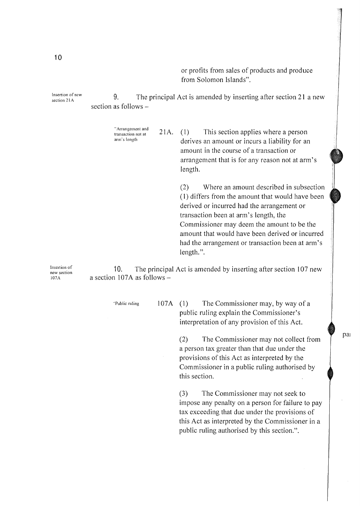or profits from sales of products and produce from Solomon Islands".

9. The principal Act is amended by inserting after section 21 a new section as follows -

"Arrangement and  $\sum_{\text{transaction not at}} 21A.$  (1)

 $\frac{1}{2}$  arrangement and  $\frac{21 \text{A}}{21 \text{A}}$ . (1) This section applies where a person arm's length derives an amount or incurs a liability for an amount in the course of a transaction or arrangement that is for any reason not at arm's length.

> (2) Where an amount described in subsection (1) differs from the amount that would have been derived or incurred had the arrangement or transaction been at arm's length, the Commissioner may deem the amount to be the amount that would have been derived or incurred had the arrangement or transaction been at arm's length.".

Insertion of 10. The principal Act is amended by inserting after section 107 new a section 107A as follows  $-$ 

"Public ruling  $107A$  (1) The Commissioner may, by way of a public ruling explain the Commissioner's interpretation of any provision of this Act.

> (2) The Commissioner may not collect from a person tax greater than that due under the provisions of this Act as interpreted by the Commissioner in a public ruling authorised by this section.

> (3) The Commissioner may not seek to impose any penalty on a person for failure to pay tax exceeding that due under the provisions of this Act as interpreted by the Commissioner in a public ruling authorised by this section.".

Insertion of new section 21A

new section 1071\

pal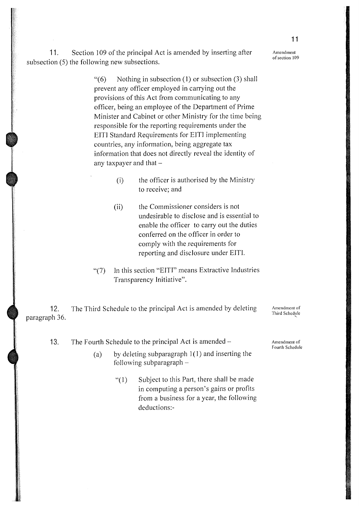Amendment of section 109

11. Section 109 of the principal Act is amended by inserting after subsection (5) the following new subsections.

> " $(6)$  Nothing in subsection  $(1)$  or subsection  $(3)$  shall prevent any officer employed in carrying out the provisions of this Act from communicating to any officer, being an employee of the Department of Prime Minister and Cabinet or other Ministry for the time being responsible for the reporting requirements under the EIT] Standard Requirements for EJT] implementing countries, any information, being aggregate tax information that does not directly reveal the identity of any taxpayer and that

- (i) the officer is authorised by the Ministry to receive; and
- (ii) the Commissioner considers is not undesirable to disclose and is essential to enable the officer to carry out the duties conferred on the officer in order to comply with the requirements for reporting and disclosure under EITI.
- "(7) In this section "EITI" means Extractive Industries Transparency Initiative".

12. The Third Schedule to the principal Act is amended by deleting paragraph 36. Amendment of Third Schedule

13. The Fourth Schedule to the principal Act is amended

- (a) by deleting subparagraph 1(1) and inserting the following subparagraph -
	- "(1) Subject to this Part, there shall be made in computing a person's gains or profits from a business for a year, the following deductions:-

Amendment of Fourth Schedule

"

**11**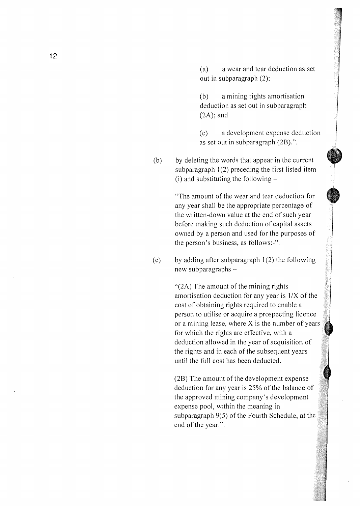(a) a wear and tear deduction as set out in subparagraph (2);

(b) a mining rights amortisation deduction as set out in subparagraph (2A); and

(c) a development expense deduction as set out in subparagraph (28).".

(b) by deleting the words that appear in the current subparagraph  $1(2)$  preceding the first listed item (i) and substituting the following  $-$ 

> "The amount of the wear and tear deduction for any year shall be the appropriate percentage of the written-down value at the end of such year before making such deduction of capital assets owned by a person and used for the purposes of the person's business, as follows:-".

(c) by adding after subparagraph  $1(2)$  the following new subparagraphs -

> "(2A) The amount of the mining rights amortisation deduction for any year is  $1/X$  of the cost of obtaining rights required to enable a person to utilise or acquire a prospecting licence or a mining lease, where  $X$  is the number of years for which the rights are effective, with a deduction allowed in the year of acquisition of the rights and in each of the subsequent years until the full cost has been deducted.

(28) The amount of the development expense deduction for any year is 25% of the balance of the approved mining company's development expense pool, within the meaning in subparagraph 9(5) of the Fourth Schedule, at the end of the year.".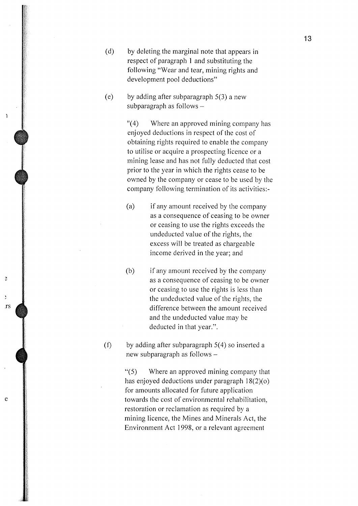- (d) by deleting the marginal note that appears in respect of paragraph 1 and substituting the following "Wear and tear, mining rights and development pool deductions"
- (e) by adding after subparagraph  $5(3)$  a new subparagraph as follows

 $\frac{1}{4}$  Where an approved mining company has enjoyed deductions in respect of the cost of obtaining rights required to enable the company to utilise or acquire a prospecting licence or a mining lease and has not fully deducted that cost prior to the year in which the rights cease to be owned by the company or cease to be used by the company following termination of its activities:-

- (a) if any amount received by the company as a consequence of ceasing to be owner or ceasing to use the rights exceeds the undeducted value of the rights, the excess will be treated as chargeable income derived in the year; and
- (b) if any amount received by the company as a consequence of ceasing to be owner or ceasing to use the rights is less than the undeducted value of the rights, the difference between the amount received and the undeducted value may be deducted in that year.".
- (f) by adding after subparagraph 5(4) so inserted a new subparagraph as follows -

.rs

 $\overline{a}$ 

ž

ľ

e

"(5) Where an approved mining company that has enjoyed deductions under paragraph 18(2)(0) for amounts allocated for future application towards the cost of environmental rehabilitation, restoration or reclamation as required by a mining licence, the Mines and Minerals Act, the Environment Act 1998, or a relevant agreement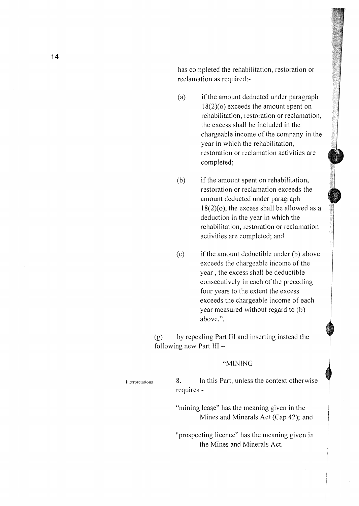has completed the rehabilitation, restoration or reclamation as required:-

- $(a)$  if the amount deducted under paragraph  $18(2)(o)$  exceeds the amount spent on rehabilitation, restoration or reclamation, the excess shall be included in the chargeable income of the company in the year in which the rehabilitation, restoration or reclamation activities are completed;
- (b) if the amount spent on rehabilitation, restoration or reclamation exceeds the amount deducted under paragraph  $18(2)(o)$ , the excess shall be allowed as a deduction in the year in which the rehabilitation, restoration or reclamation activities are completed; and
- (c) if the amount deductible under (b) above exceeds the chargeable income of the year, the excess shall be deductible consecutively in each of the preceding four years to the extent the excess exceeds the chargeable income of each year measured without regard to (b) above.".

(g) by repealing Part III and inserting instead the following new Part  $III -$ 

### "MINING

Interpretations

8. In this Part, unless the context otherwise requires -

"mining lease" has the meaning given in the Mines and Minerals Act (Cap 42); and

"prospecting licence" has the meaning given in the Mines and Minerals Act.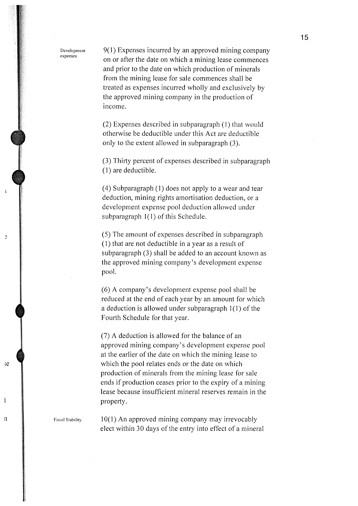expenses

Development  $9(1)$  Expenses incurred by an approved mining company on or after the date on which a mining lease commences and prior to the date on which production of minerals from the mining lease for sale commences shall be treated as expenses incurred wholly and exclusively by the approved mining company in the production of income.

> (2) Expenses described in subparagraph (I) that would otherwise be deductible under this Act are deductible only to the extent allowed in subparagraph (3).

(3) Thirty percent of expenses described in subparagraph (1) are deductible.

(4) Subparagraph (1) does not apply to a wear and tear deduction, mining rights amortisation deduction, or a development expense pool deduction allowed under subparagraph  $1(1)$  of this Schedule.

(5) The amount of expenses described in subparagraph (1) that are not deductible in a year as a result of subparagraph (3) shall be added to an account known as the approved mining company's development expense pool.

(6) A company's development expense pool shall be reduced at the end of each year by an amount for which a deduction is allowed under subparagraph 1(1) of the Fourth Schedule for that year.

(7) A deduction is allowed for the balance of an approved mining company's development expense pool at the earlier of the date on which the mining lease to se which the pool relates ends or the date on which production of minerals from the mining lease for sale ends if production ceases prior to the expiry of a mining lease because insufficient mineral reserves remain in the property.

 $\cdot$ 

 $\mathbf{I}$ 

n  $\parallel$  Fiscal Stability 10(1) An approved mining company may irrevocably elect within 30 days of the entry into effect of a mineral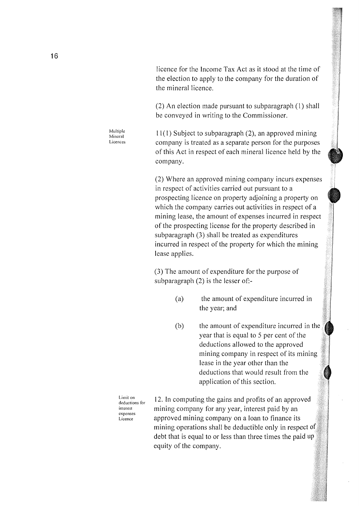licence for the Income Tax Act as it stood at the time of the election to apply to the company for the duration of the mineral licence.

(2) An election made pursuant to subparagraph (1) shall be conveyed in writing to the Commissioner.

Multiple Mineral Licences

 $11(1)$  Subject to subparagraph  $(2)$ , an approved mining company is treated as a separate person for the purposes of this Act in respect of each mineral licence held by the company.

(2) Where an approved mining company incurs expenses in respect of activities carried out pursuant to a prospecting licence on property adjoining a property on which the company carries out activities in respect of a mining lease, the amount of expenses incurred in respect of the prospecting license for the property described in subparagraph (3) shall be treated as expenditures incurred in respect of the property for which the mining lease applies.

(3) The amount of expenditure for the purpose of subparagraph (2) is the lesser of:-

- (a) the amount of expenditure incurred in the year; and
- (b) the amount of expenditure incurred in the year that is equal to 5 per cent of the deductions allowed to the approved mining company in respect of its mining lease in the year other than the deductions that would result from the application of this section.

Limit on deductions for interest expenses Licence

12. In computing the gains and profits of an approved mining company for any year, interest paid by an approved mining company on a loan to finance its mining operations shall be deductible only in respect debt that is equal to or less than three times the paid up equity of the company.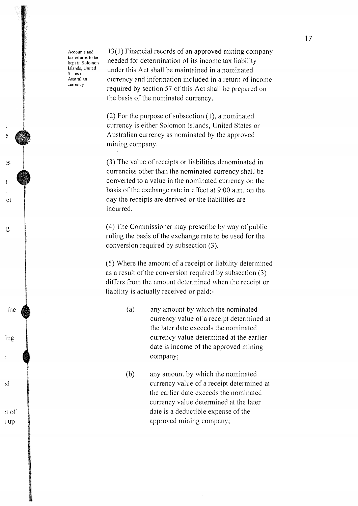Accounts and tax returns to be kept in Solomon Islands, United States or Australian currency

~s

ct

g

the

ing

:d

:t of iUP

 $13(1)$  Financial records of an approved mining company needed for determination of its income tax liability under this Act shall be maintained in a nominated currency and information included in a return of income required by section 57 of this Act shall be prepared on the basis of the nominated currency.

(2) For the purpose of subsection (1), a nominated currency is either Solomon Islands, United States or Australian currency as nominated by the approved mining company.

(3) The value of receipts or liabilities denominated in currencies other than the nominated currency shall be converted to a value in the nominated currency on the basis of the exchange rate in effect at 9:00 a.m. on the day the receipts are derived or the liabilities are incurred.

 $(4)$  The Commissioner may prescribe by way of public ruling the basis of the exchange rate to be used for the conversion required by subsection (3).

(5) Where the amount of a receipt or liability determined as a result of the conversion required by subsection (3) differs from the amount determined when the receipt or liability is actually received or paid:-

- (a) any amount by which the nominated currency value of a receipt determined at the later date exceeds the nominated currency value determined at the earlier date is income of the approved mining company;
- (b) any amount by which the nominated currency value of a receipt determined at the earlier date exceeds the nominated currency value determined at the later date is a deductible expense of the approved mining company;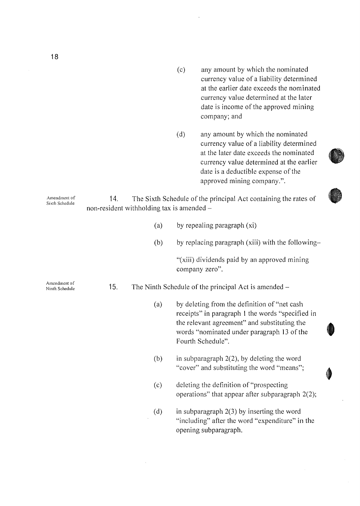- (c) any amount by which the nominated currency value of a liability determined at the earlier date exceeds the nominated currency value determined at the later date is income of the approved mining company; and
- (d) any amount by which the nominated currency value of a liability determined at the later date exceeds the nominated currency value determined at the earlier date is a deductible expense of the approved mining company.".

14. The Sixth Schedule of the principal Act containing the rates of non-resident withholding tax is amended  $-$ 

- (a) by repealing paragraph (xi)
- (b) by replacing paragraph (xiii) with the following--

"(xiii) dividends paid by an approved mining company zero".

#### 15. The Ninth Schedule of the principal Act is amended  $-$

- (a) by deleting from the definition of "net cash receipts" in paragraph 1 the words "specified in the relevant agreement" and substituting the words "nominated under paragraph 13 of the Fourth Schedule".
- (b) in subparagraph 2(2), by deleting the word "cover" and substituting the word "means";
- (c) deleting the definition of "prospecting operations" that appear after subparagraph 2(2);
- (d) in subparagraph  $2(3)$  by inserting the word "including" after the word "expenditure" in the opening subparagraph.

Amendment of Sixth Schedule

Amendment of Ninth Schedule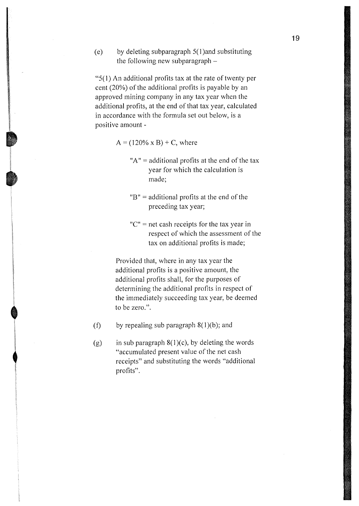(e) by deleting subparagraph  $5(1)$  and substituting the following new subparagraph-

"5( 1) An additional profits tax at the rate of twenty per cent (20%) of the additional profits is payable by an approved mining company in any tax year when the additional profits, at the end of that tax year, calculated in accordance with the formula set out below, is a positive amount -

 $A = (120\% \times B) + C$ , where

- " $A$ " = additional profits at the end of the tax year for which the calculation is made;
- "B" = additional profits at the end of the preceding tax year;
- $"C"$  = net cash receipts for the tax year in respect of which the assessment of the tax on additional profits is made;

Provided that, where in any tax year the additional profits is a positive amount, the additional profits shall, for the purposes of determining the additional profits in respect of the immediately succeeding tax year, be deemed to be zero.".

- (f) by repealing sub paragraph  $8(1)(b)$ ; and
- (g) in sub paragraph  $8(1)(c)$ , by deleting the words "accumulated present value of the net cash receipts" and substituting the words "additional profits".